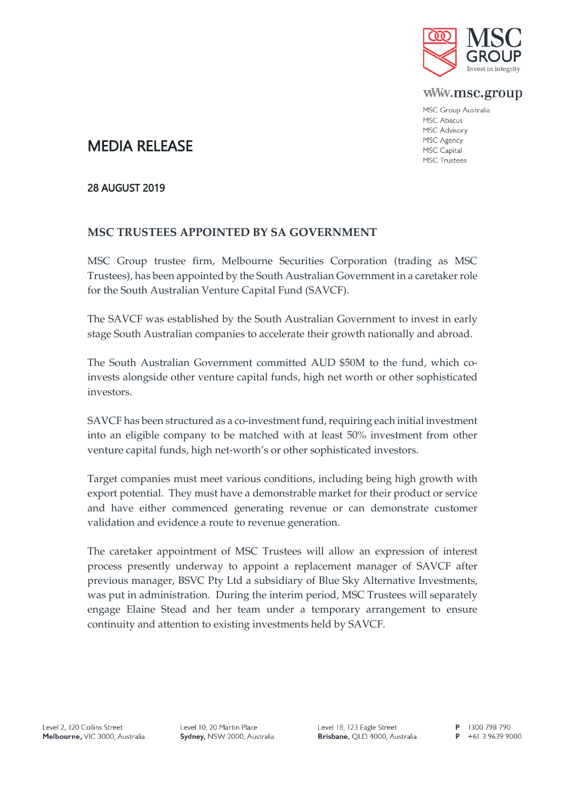

www.msc.group

MSC Group Australia MSC Abacus MSC Advisory MSC Agency MSC Capital **MSC Trustees** 

# MEDIA RELEASE

## 28 AUGUST 2019

# **MSC TRUSTEES APPOINTED BY SA GOVERNMENT**

MSC Group trustee firm, Melbourne Securities Corporation (trading as MSC Trustees), has been appointed by the South Australian Government in a caretaker role for the South Australian Venture Capital Fund (SAVCF).

The SAVCF was established by the South Australian Government to invest in early stage South Australian companies to accelerate their growth nationally and abroad.

The South Australian Government committed AUD \$50M to the fund, which coinvests alongside other venture capital funds, high net worth or other sophisticated investors.

SAVCF has been structured as a co-investment fund, requiring each initial investment into an eligible company to be matched with at least 50% investment from other venture capital funds, high net-worth's or other sophisticated investors.

Target companies must meet various conditions, including being high growth with export potential. They must have a demonstrable market for their product or service and have either commenced generating revenue or can demonstrate customer validation and evidence a route to revenue generation.

The caretaker appointment of MSC Trustees will allow an expression of interest process presently underway to appoint a replacement manager of SAVCF after previous manager, BSVC Pty Ltd a subsidiary of Blue Sky Alternative Investments, was put in administration. During the interim period, MSC Trustees will separately engage Elaine Stead and her team under a temporary arrangement to ensure continuity and attention to existing investments held by SAVCF.

Level 10, 20 Martin Place Sydney, NSW 2000, Australia Level 18, 123 Eagle Street Brisbane, QLD 4000, Australia